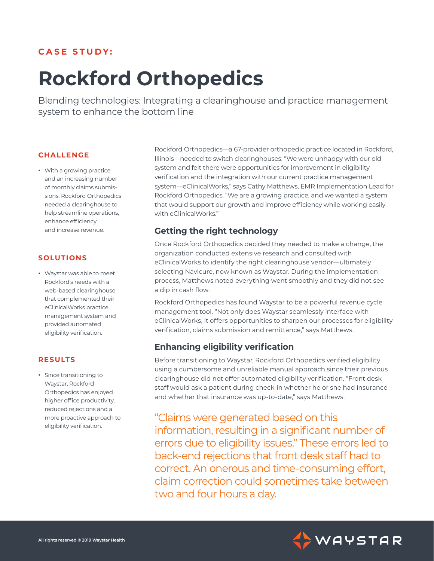## **CASE STUDY:**

# **Rockford Orthopedics**

Blending technologies: Integrating a clearinghouse and practice management system to enhance the bottom line

#### **CHALLENGE**

**ٚ** With a growing practice and an increasing number of monthly claims submissions, Rockford Orthopedics needed a clearinghouse to help streamline operations, enhance efficiency and increase revenue.

#### **SOLUTIONS**

**ٚ** Waystar was able to meet Rockford's needs with a web-based clearinghouse that complemented their eClinicalWorks practice management system and provided automated eligibility verification.

#### **RESULTS**

**ٚ** Since transitioning to Waystar, Rockford Orthopedics has enjoyed higher office productivity, reduced rejections and a more proactive approach to eligibility verification.

Rockford Orthopedics—a 67-provider orthopedic practice located in Rockford, Illinois—needed to switch clearinghouses. "We were unhappy with our old system and felt there were opportunities for improvement in eligibility verification and the integration with our current practice management system—eClinicalWorks," says Cathy Matthews, EMR Implementation Lead for Rockford Orthopedics. "We are a growing practice, and we wanted a system that would support our growth and improve efficiency while working easily with eClinicalWorks."

#### **Getting the right technology**

Once Rockford Orthopedics decided they needed to make a change, the organization conducted extensive research and consulted with eClinicalWorks to identify the right clearinghouse vendor—ultimately selecting Navicure, now known as Waystar. During the implementation process, Matthews noted everything went smoothly and they did not see a dip in cash flow.

Rockford Orthopedics has found Waystar to be a powerful revenue cycle management tool. "Not only does Waystar seamlessly interface with eClinicalWorks, it offers opportunities to sharpen our processes for eligibility verification, claims submission and remittance," says Matthews.

#### **Enhancing eligibility verification**

Before transitioning to Waystar, Rockford Orthopedics verified eligibility using a cumbersome and unreliable manual approach since their previous clearinghouse did not offer automated eligibility verification. "Front desk staff would ask a patient during check-in whether he or she had insurance and whether that insurance was up-to-date," says Matthews.

## "Claims were generated based on this

information, resulting in a significant number of errors due to eligibility issues." These errors led to back-end rejections that front desk staff had to correct. An onerous and time-consuming effort, claim correction could sometimes take between two and four hours a day.

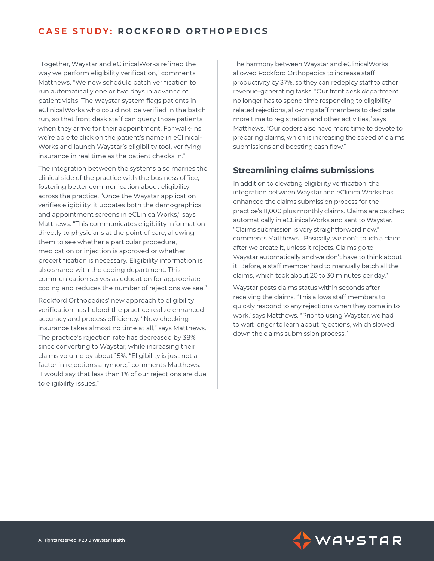## **CASE STUDY: ROCKFORD ORTHOPEDICS**

"Together, Waystar and eClinicalWorks refined the way we perform eligibility verification," comments Matthews. "We now schedule batch verification to run automatically one or two days in advance of patient visits. The Waystar system flags patients in eClinicalWorks who could not be verified in the batch run, so that front desk staff can query those patients when they arrive for their appointment. For walk-ins, we're able to click on the patient's name in eClinical-Works and launch Waystar's eligibility tool, verifying insurance in real time as the patient checks in."

The integration between the systems also marries the clinical side of the practice with the business office, fostering better communication about eligibility across the practice. "Once the Waystar application verifies eligibility, it updates both the demographics and appointment screens in eCLinicalWorks," says Matthews. "This communicates eligibility information directly to physicians at the point of care, allowing them to see whether a particular procedure, medication or injection is approved or whether precertification is necessary. Eligibility information is also shared with the coding department. This communication serves as education for appropriate coding and reduces the number of rejections we see."

Rockford Orthopedics' new approach to eligibility verification has helped the practice realize enhanced accuracy and process efficiency. "Now checking insurance takes almost no time at all," says Matthews. The practice's rejection rate has decreased by 38% since converting to Waystar, while increasing their claims volume by about 15%. "Eligibility is just not a factor in rejections anymore," comments Matthews. "I would say that less than 1% of our rejections are due to eligibility issues."

The harmony between Waystar and eClinicalWorks allowed Rockford Orthopedics to increase staff productivity by 37%, so they can redeploy staff to other revenue-generating tasks. "Our front desk department no longer has to spend time responding to eligibilityrelated rejections, allowing staff members to dedicate more time to registration and other activities," says Matthews. "Our coders also have more time to devote to preparing claims, which is increasing the speed of claims submissions and boosting cash flow."

#### **Streamlining claims submissions**

In addition to elevating eligibility verification, the integration between Waystar and eClinicalWorks has enhanced the claims submission process for the practice's 11,000 plus monthly claims. Claims are batched automatically in eCLinicalWorks and sent to Waystar. "Claims submission is very straightforward now," comments Matthews. "Basically, we don't touch a claim after we create it, unless it rejects. Claims go to Waystar automatically and we don't have to think about it. Before, a staff member had to manually batch all the claims, which took about 20 to 30 minutes per day."

Waystar posts claims status within seconds after receiving the claims. "This allows staff members to quickly respond to any rejections when they come in to work,' says Matthews. "Prior to using Waystar, we had to wait longer to learn about rejections, which slowed down the claims submission process."